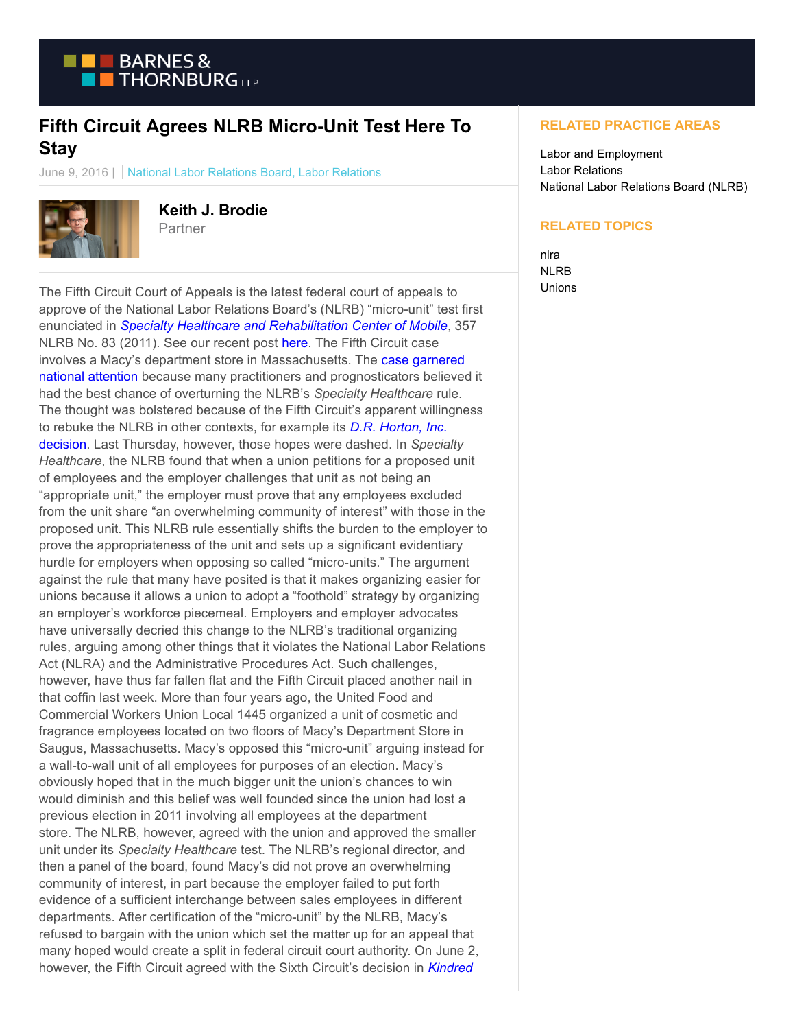

## **Fifth Circuit Agrees NLRB Micro-Unit Test Here To Stay**

June 9, 2016 | National Labor Relations Board, Labor Relations



**Keith J. Brodie**

Partner

The Fifth Circuit Court of Appeals is the latest federal court of appeals to approve of the National Labor Relations Board's (NLRB) "micro-unit" test first enunciated in *[Specialty Healthcare and Rehabilitation Center of Mobile](https://www.btlaborrelations.com/wp-content/uploads/2016/06/Specialty-Healthcare-Board-Decision.pdf)*, 357 NLRB No. 83 (2011). See our recent post [here.](https://www.btlaborrelations.com/nlrb-continues-to-cite-its-infamous-specialty-healthcare-decision-when-affirming-funky-bargaining-units/) The Fifth Circuit case involves a Macy's department store in Massachusetts. The [case garnered](https://www.btlaborrelations.com/wp-content/uploads/2016/06/Macys.pdf) national attention because many practitioners and prognosticators believed it had the best chance of overturning the NLRB's *Specialty Healthcare* rule. The thought was bolstered because of the Fifth Circuit's apparent willingness to rebuke the NLRB in other contexts, for example its *[D.R. Horton, Inc](https://www.btlaborrelations.com/arbitration-agreement-take-two-fifth-circuit-refuses-to-revisit-d-r-horton-in-murphy-oil-case/)*. decision. Last Thursday, however, those hopes were dashed. In *Specialty Healthcare*, the NLRB found that when a union petitions for a proposed unit of employees and the employer challenges that unit as not being an "appropriate unit," the employer must prove that any employees excluded from the unit share "an overwhelming community of interest" with those in the proposed unit. This NLRB rule essentially shifts the burden to the employer to prove the appropriateness of the unit and sets up a significant evidentiary hurdle for employers when opposing so called "micro-units." The argument against the rule that many have posited is that it makes organizing easier for unions because it allows a union to adopt a "foothold" strategy by organizing an employer's workforce piecemeal. Employers and employer advocates have universally decried this change to the NLRB's traditional organizing rules, arguing among other things that it violates the National Labor Relations Act (NLRA) and the Administrative Procedures Act. Such challenges, however, have thus far fallen flat and the Fifth Circuit placed another nail in that coffin last week. More than four years ago, the United Food and Commercial Workers Union Local 1445 organized a unit of cosmetic and fragrance employees located on two floors of Macy's Department Store in Saugus, Massachusetts. Macy's opposed this "micro-unit" arguing instead for a wall-to-wall unit of all employees for purposes of an election. Macy's obviously hoped that in the much bigger unit the union's chances to win would diminish and this belief was well founded since the union had lost a previous election in 2011 involving all employees at the department store. The NLRB, however, agreed with the union and approved the smaller unit under its *Specialty Healthcare* test. The NLRB's regional director, and then a panel of the board, found Macy's did not prove an overwhelming community of interest, in part because the employer failed to put forth evidence of a sufficient interchange between sales employees in different departments. After certification of the "micro-unit" by the NLRB, Macy's refused to bargain with the union which set the matter up for an appeal that many hoped would create a split in federal circuit court authority. On June 2, however, the Fifth Circuit agreed with the Sixth Circuit's decision in *[Kindred](https://www.btlaborrelations.com/wp-content/uploads/2016/06/Kindred-Nursing.pdf)*

## **RELATED PRACTICE AREAS**

Labor and Employment Labor Relations National Labor Relations Board (NLRB)

## **RELATED TOPICS**

nlra NLRB Unions